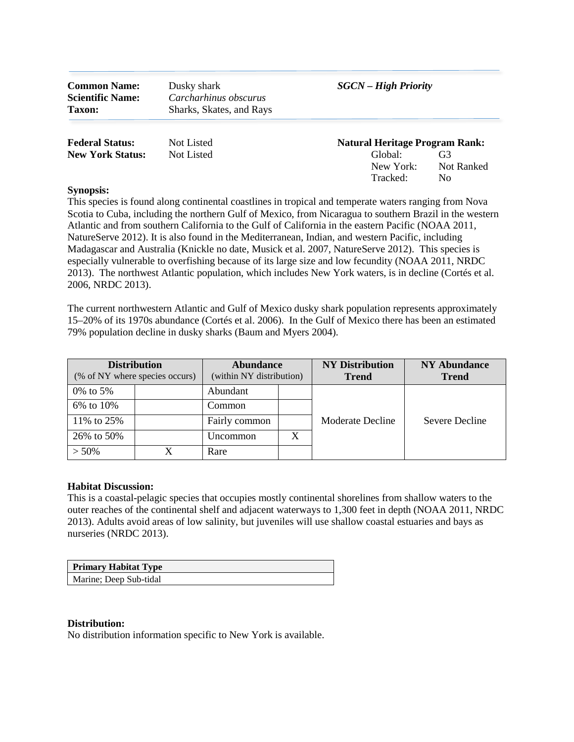| <b>Common Name:</b><br><b>Scientific Name:</b><br><b>Taxon:</b> | Dusky shark<br>Carcharhinus obscurus<br>Sharks, Skates, and Rays | <b>SGCN</b> – High Priority           |                                    |  |
|-----------------------------------------------------------------|------------------------------------------------------------------|---------------------------------------|------------------------------------|--|
| <b>Federal Status:</b>                                          | Not Listed                                                       | <b>Natural Heritage Program Rank:</b> |                                    |  |
| <b>New York Status:</b>                                         | Not Listed                                                       | Global:<br>New York:<br>Tracked:      | G3<br>Not Ranked<br>N <sub>0</sub> |  |

 Madagascar and Australia (Knickle no date, Musick et al. 2007, NatureServe 2012). This species is This species is found along continental coastlines in tropical and temperate waters ranging from Nova Scotia to Cuba, including the northern Gulf of Mexico, from Nicaragua to southern Brazil in the western Atlantic and from southern California to the Gulf of California in the eastern Pacific (NOAA 2011, NatureServe 2012). It is also found in the Mediterranean, Indian, and western Pacific, including especially vulnerable to overfishing because of its large size and low fecundity (NOAA 2011, NRDC 2013). The northwest Atlantic population, which includes New York waters, is in decline (Cortés et al. 2006, NRDC 2013).

 The current northwestern Atlantic and Gulf of Mexico dusky shark population represents approximately 15–20% of its 1970s abundance (Cortés et al. 2006). In the Gulf of Mexico there has been an estimated 79% population decline in dusky sharks (Baum and Myers 2004).

| <b>Distribution</b><br>(% of NY where species occurs) |  | <b>Abundance</b><br>(within NY distribution) |  | <b>NY Distribution</b><br><b>Trend</b> | <b>NY Abundance</b><br><b>Trend</b> |
|-------------------------------------------------------|--|----------------------------------------------|--|----------------------------------------|-------------------------------------|
| 0\% to 5\%                                            |  | Abundant                                     |  |                                        |                                     |
| 6% to 10%                                             |  | Common                                       |  |                                        |                                     |
| 11% to 25%                                            |  | Fairly common                                |  | Moderate Decline                       | Severe Decline                      |
| 26% to 50%                                            |  | Uncommon                                     |  |                                        |                                     |
| $> 50\%$                                              |  | Rare                                         |  |                                        |                                     |

#### **Habitat Discussion:**

This is a coastal-pelagic species that occupies mostly continental shorelines from shallow waters to the outer reaches of the continental shelf and adjacent waterways to 1,300 feet in depth (NOAA 2011, NRDC 2013). Adults avoid areas of low salinity, but juveniles will use shallow coastal estuaries and bays as nurseries (NRDC 2013).

| <b>Primary Habitat Type</b> |  |
|-----------------------------|--|
| Marine; Deep Sub-tidal      |  |

#### **Distribution:**

No distribution information specific to New York is available.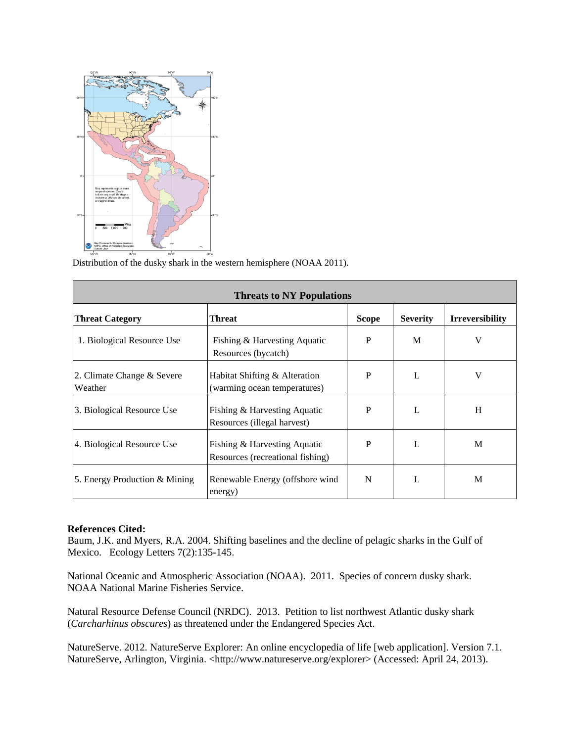

Distribution of the dusky shark in the western hemisphere (NOAA 2011).

| <b>Threats to NY Populations</b>      |                                                                  |              |                 |                        |  |
|---------------------------------------|------------------------------------------------------------------|--------------|-----------------|------------------------|--|
| <b>Threat Category</b>                | Threat                                                           | <b>Scope</b> | <b>Severity</b> | <b>Irreversibility</b> |  |
| 1. Biological Resource Use            | Fishing & Harvesting Aquatic<br>Resources (bycatch)              | P            | M               | V                      |  |
| 2. Climate Change & Severe<br>Weather | Habitat Shifting & Alteration<br>(warming ocean temperatures)    | P            | $\mathbf{I}$ .  | V                      |  |
| 3. Biological Resource Use            | Fishing & Harvesting Aquatic<br>Resources (illegal harvest)      | P            | L               | H                      |  |
| 4. Biological Resource Use            | Fishing & Harvesting Aquatic<br>Resources (recreational fishing) | P            | L               | M                      |  |
| 5. Energy Production & Mining         | Renewable Energy (offshore wind<br>energy)                       | N            | L               | M                      |  |

Baum, J.K. and Myers, R.A. 2004. Shifting baselines and the decline of pelagic sharks in the Gulf of Mexico. Ecology Letters 7(2):135-145.

National Oceanic and Atmospheric Association (NOAA). 2011. Species of concern dusky shark. NOAA National Marine Fisheries Service.

(Carcharhinus obscures) as threatened under the Endangered Species Act. Natural Resource Defense Council (NRDC). 2013. Petition to list northwest Atlantic dusky shark

(*Carcharhinus obscures*) as threatened under the Endangered Species Act.<br>NatureServe. 2012. NatureServe Explorer: An online encyclopedia of life [web application]. Version 7.1. NatureServe, Arlington, Virginia. [<http://www.natureserve.org/explorer>](http://www.natureserve.org/explorer) (Accessed: April 24, 2013).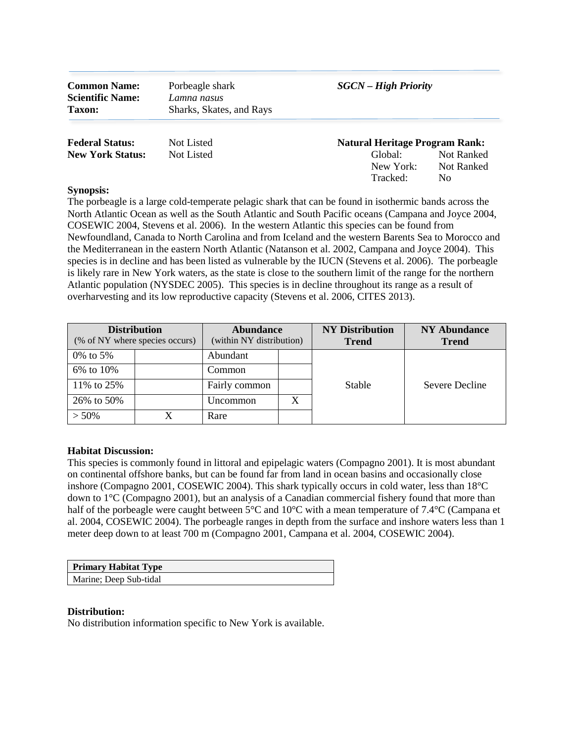| <b>Common Name:</b><br><b>Scientific Name:</b><br><b>Taxon:</b> | Porbeagle shark<br>Lamna nasus<br>Sharks, Skates, and Rays | <b>SGCN</b> – High Priority                                               |                                 |  |
|-----------------------------------------------------------------|------------------------------------------------------------|---------------------------------------------------------------------------|---------------------------------|--|
| <b>Federal Status:</b><br><b>New York Status:</b>               | Not Listed<br>Not Listed                                   | <b>Natural Heritage Program Rank:</b><br>Global:<br>New York:<br>Tracked: | Not Ranked<br>Not Ranked<br>No. |  |

 COSEWIC 2004, Stevens et al. 2006). In the western Atlantic this species can be found from The porbeagle is a large cold-temperate pelagic shark that can be found in isothermic bands across the North Atlantic Ocean as well as the South Atlantic and South Pacific oceans (Campana and Joyce 2004, Newfoundland, Canada to North Carolina and from Iceland and the western Barents Sea to Morocco and the Mediterranean in the eastern North Atlantic (Natanson et al. 2002, Campana and Joyce 2004). This species is in decline and has been listed as vulnerable by the IUCN (Stevens et al. 2006). The porbeagle is likely rare in New York waters, as the state is close to the southern limit of the range for the northern Atlantic population (NYSDEC 2005). This species is in decline throughout its range as a result of overharvesting and its low reproductive capacity (Stevens et al. 2006, CITES 2013).

| <b>Distribution</b><br>(% of NY where species occurs) |  | <b>Abundance</b><br>(within NY distribution) |  | <b>NY Distribution</b><br><b>Trend</b> | <b>NY Abundance</b><br><b>Trend</b> |
|-------------------------------------------------------|--|----------------------------------------------|--|----------------------------------------|-------------------------------------|
| 0\% to 5\%                                            |  | Abundant                                     |  |                                        |                                     |
| 6% to 10%                                             |  | Common                                       |  |                                        |                                     |
| 11% to 25%                                            |  | Fairly common                                |  | Stable                                 | Severe Decline                      |
| 26% to 50%                                            |  | Uncommon                                     |  |                                        |                                     |
| $> 50\%$                                              |  | Rare                                         |  |                                        |                                     |

# **Habitat Discussion:**

 This species is commonly found in littoral and epipelagic waters (Compagno 2001). It is most abundant inshore (Compagno 2001, COSEWIC 2004). This shark typically occurs in cold water, less than 18°C half of the porbeagle were caught between 5°C and 10°C with a mean temperature of 7.4°C (Campana et al. 2004, COSEWIC 2004). The porbeagle ranges in depth from the surface and inshore waters less than 1 on continental offshore banks, but can be found far from land in ocean basins and occasionally close down to  $1^{\circ}$ C (Compagno 2001), but an analysis of a Canadian commercial fishery found that more than meter deep down to at least 700 m (Compagno 2001, Campana et al. 2004, COSEWIC 2004).

| Primary Habitat Type   |  |
|------------------------|--|
| Marine; Deep Sub-tidal |  |

#### **Distribution:**

No distribution information specific to New York is available.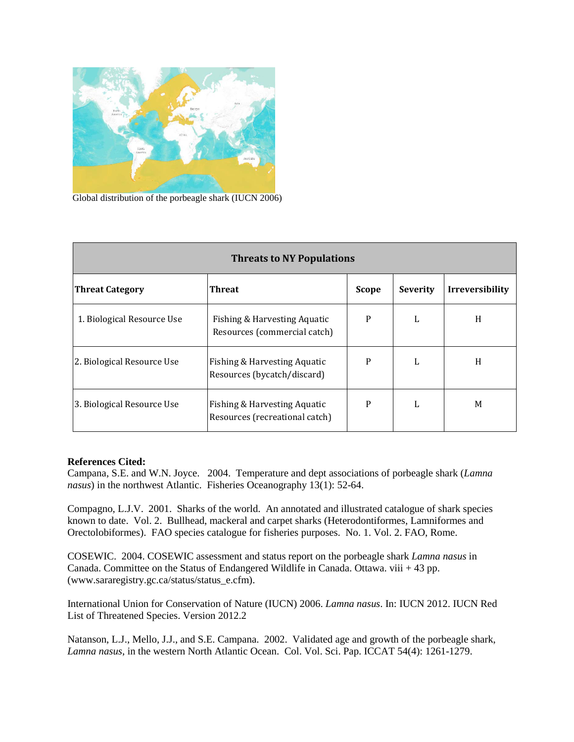

Global distribution of the porbeagle shark (IUCN 2006)

| <b>Threats to NY Populations</b> |                                                                |              |                 |                        |  |
|----------------------------------|----------------------------------------------------------------|--------------|-----------------|------------------------|--|
| <b>Threat Category</b>           | <b>Threat</b>                                                  | <b>Scope</b> | <b>Severity</b> | <b>Irreversibility</b> |  |
| 1. Biological Resource Use       | Fishing & Harvesting Aquatic<br>Resources (commercial catch)   | P            | L               | H                      |  |
| 2. Biological Resource Use       | Fishing & Harvesting Aquatic<br>Resources (bycatch/discard)    | P            | L               | H                      |  |
| 3. Biological Resource Use       | Fishing & Harvesting Aquatic<br>Resources (recreational catch) | P            | L               | M                      |  |

Campana, S.E. and W.N. Joyce. 2004. Temperature and dept associations of porbeagle shark (*Lamna nasus*) in the northwest Atlantic. Fisheries Oceanography 13(1): 52-64.

Compagno, L.J.V. 2001. Sharks of the world. An annotated and illustrated catalogue of shark species known to date. Vol. 2. Bullhead, mackeral and carpet sharks (Heterodontiformes, Lamniformes and Orectolobiformes). FAO species catalogue for fisheries purposes. No. 1. Vol. 2. FAO, Rome.

 COSEWIC. 2004. COSEWIC assessment and status report on the porbeagle shark *Lamna nasus* in Canada. Committee on the Status of Endangered Wildlife in Canada. Ottawa. viii + 43 pp. ([www.sararegistry.gc.ca/status/status\\_e.cfm\)](www.sararegistry.gc.ca/status/status_e.cfm).

 List of Threatened Species. Version 2012.2 International Union for Conservation of Nature (IUCN) 2006. *Lamna nasus*. In: IUCN 2012. IUCN Red

Natanson, L.J., Mello, J.J., and S.E. Campana. 2002. Validated age and growth of the porbeagle shark, *Lamna nasus*, in the western North Atlantic Ocean. Col. Vol. Sci. Pap. ICCAT 54(4): 1261-1279.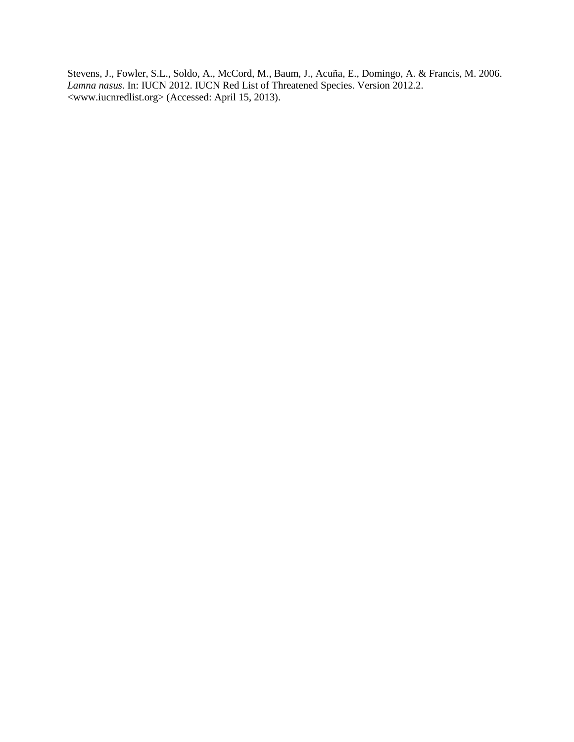Stevens, J., Fowler, S.L., Soldo, A., McCord, M., Baum, J., Acuña, E., Domingo, A. & Francis, M. 2006. *Lamna nasus*. In: IUCN 2012. IUCN Red List of Threatened Species. Version 2012.2. [<www.iucnredlist.org>](www.iucnredlist.org) (Accessed: April 15, 2013).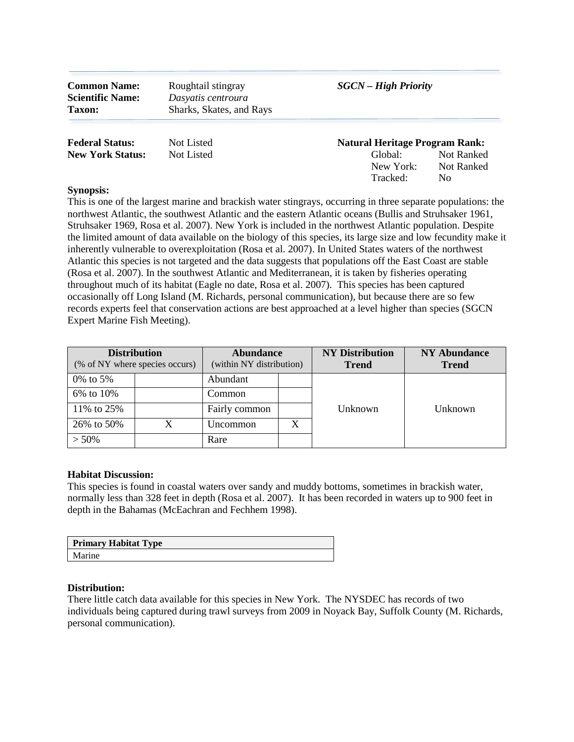| <b>Common Name:</b><br><b>Scientific Name:</b><br><b>Taxon:</b> | Roughtail stingray<br>Dasyatis centroura<br>Sharks, Skates, and Rays | <b>SGCN</b> – High Priority           |                                 |  |
|-----------------------------------------------------------------|----------------------------------------------------------------------|---------------------------------------|---------------------------------|--|
| <b>Federal Status:</b>                                          | Not Listed                                                           | <b>Natural Heritage Program Rank:</b> |                                 |  |
| <b>New York Status:</b>                                         | Not Listed                                                           | Global:<br>New York:<br>Tracked:      | Not Ranked<br>Not Ranked<br>No. |  |

 Atlantic this species is not targeted and the data suggests that populations off the East Coast are stable throughout much of its habitat (Eagle no date, Rosa et al. 2007). This species has been captured This is one of the largest marine and brackish water stingrays, occurring in three separate populations: the northwest Atlantic, the southwest Atlantic and the eastern Atlantic oceans (Bullis and Struhsaker 1961, Struhsaker 1969, Rosa et al. 2007). New York is included in the northwest Atlantic population. Despite the limited amount of data available on the biology of this species, its large size and low fecundity make it inherently vulnerable to overexploitation (Rosa et al. 2007). In United States waters of the northwest (Rosa et al. 2007). In the southwest Atlantic and Mediterranean, it is taken by fisheries operating occasionally off Long Island (M. Richards, personal communication), but because there are so few records experts feel that conservation actions are best approached at a level higher than species (SGCN Expert Marine Fish Meeting).

| <b>Distribution</b><br>(% of NY where species occurs) |  | <b>Abundance</b><br>(within NY distribution) |  | <b>NY Distribution</b><br><b>Trend</b> | <b>NY Abundance</b><br><b>Trend</b> |
|-------------------------------------------------------|--|----------------------------------------------|--|----------------------------------------|-------------------------------------|
| 0\% to 5\%                                            |  | Abundant                                     |  |                                        |                                     |
| 6% to 10%                                             |  | Common                                       |  |                                        |                                     |
| 11% to 25%                                            |  | Fairly common                                |  | Unknown                                | Unknown                             |
| 26% to 50%                                            |  | <b>Uncommon</b>                              |  |                                        |                                     |
| $> 50\%$                                              |  | Rare                                         |  |                                        |                                     |

# **Habitat Discussion:**

 This species is found in coastal waters over sandy and muddy bottoms, sometimes in brackish water, normally less than 328 feet in depth (Rosa et al. 2007). It has been recorded in waters up to 900 feet in depth in the Bahamas (McEachran and Fechhem 1998).

| <b>Primary Habitat Type</b> |
|-----------------------------|
| Marine                      |

#### **Distribution:**

 individuals being captured during trawl surveys from 2009 in Noyack Bay, Suffolk County (M. Richards, There little catch data available for this species in New York. The NYSDEC has records of two personal communication).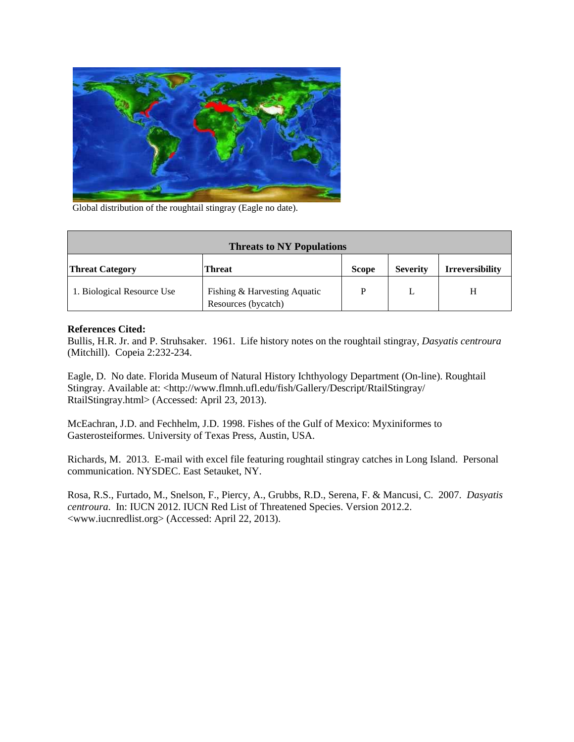

Global distribution of the roughtail stingray (Eagle no date).

| <b>Threats to NY Populations</b> |                                                     |              |                 |                        |  |
|----------------------------------|-----------------------------------------------------|--------------|-----------------|------------------------|--|
| <b>Threat Category</b>           | <b>Threat</b>                                       | <b>Scope</b> | <b>Severity</b> | <b>Irreversibility</b> |  |
| 1. Biological Resource Use       | Fishing & Harvesting Aquatic<br>Resources (bycatch) | D            |                 |                        |  |

 Bullis, H.R. Jr. and P. Struhsaker. 1961. Life history notes on the roughtail stingray, *Dasyatis centroura*  (Mitchill). Copeia 2:232-234.

Eagle, D. No date. Florida Museum of Natural History Ichthyology Department (On-line). Roughtail Stingray. Available at: [<http://www.flmnh.ufl.edu/fish/Gallery/Descript/RtailStingray/](http://www.flmnh.ufl.edu/fish/Gallery/Descript/RtailStingray) RtailStingray.html> (Accessed: April 23, 2013).

 McEachran, J.D. and Fechhelm, J.D. 1998. Fishes of the Gulf of Mexico: Myxiniformes to Gasterosteiformes. University of Texas Press, Austin, USA.

Richards, M. 2013. E-mail with excel file featuring roughtail stingray catches in Long Island. Personal communication. NYSDEC. East Setauket, NY.

Rosa, R.S., Furtado, M., Snelson, F., Piercy, A., Grubbs, R.D., Serena, F. & Mancusi, C. 2007. *Dasyatis centroura*. In: IUCN 2012. IUCN Red List of Threatened Species. Version 2012.2. [<www.iucnredlist.org>](www.iucnredlist.org) (Accessed: April 22, 2013).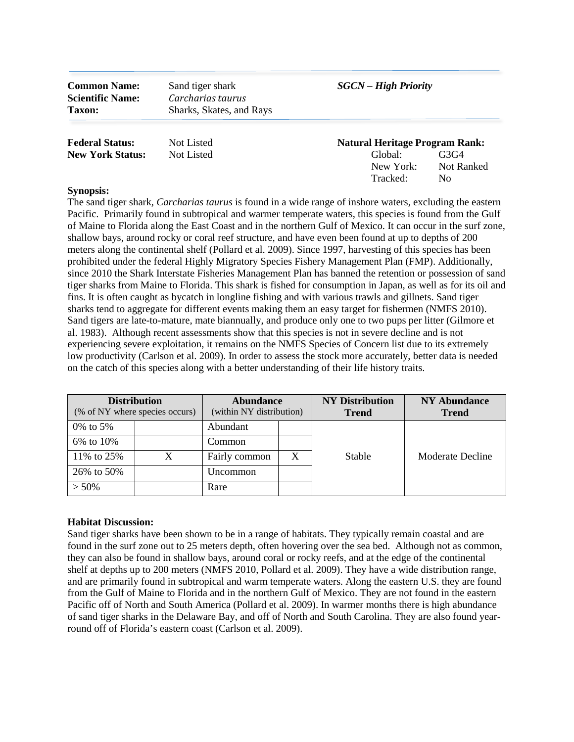| <b>Common Name:</b>     | Sand tiger shark         | <b>SGCN</b> – High Priority           |            |  |  |
|-------------------------|--------------------------|---------------------------------------|------------|--|--|
| <b>Scientific Name:</b> | Carcharias taurus        |                                       |            |  |  |
| <b>Taxon:</b>           | Sharks, Skates, and Rays |                                       |            |  |  |
| <b>Federal Status:</b>  | Not Listed               | <b>Natural Heritage Program Rank:</b> |            |  |  |
| <b>New York Status:</b> | Not Listed               | Global:                               | G3G4       |  |  |
|                         |                          | New York:                             | Not Ranked |  |  |

Tracked: No

## **Synopsis:**

 The sand tiger shark, *Carcharias taurus* is found in a wide range of inshore waters, excluding the eastern meters along the continental shelf (Pollard et al. 2009). Since 1997, harvesting of this species has been since 2010 the Shark Interstate Fisheries Management Plan has banned the retention or possession of sand sharks tend to aggregate for different events making them an easy target for fishermen (NMFS 2010). Sand tigers are late-to-mature, mate biannually, and produce only one to two pups per litter (Gilmore et experiencing severe exploitation, it remains on the NMFS Species of Concern list due to its extremely on the catch of this species along with a better understanding of their life history traits. Pacific. Primarily found in subtropical and warmer temperate waters, this species is found from the Gulf of Maine to Florida along the East Coast and in the northern Gulf of Mexico. It can occur in the surf zone, shallow bays, around rocky or coral reef structure, and have even been found at up to depths of 200 prohibited under the federal Highly Migratory Species Fishery Management Plan (FMP). Additionally, tiger sharks from Maine to Florida. This shark is fished for consumption in Japan, as well as for its oil and fins. It is often caught as bycatch in longline fishing and with various trawls and gillnets. Sand tiger al. 1983). Although recent assessments show that this species is not in severe decline and is not low productivity (Carlson et al. 2009). In order to assess the stock more accurately, better data is needed

| <b>Distribution</b><br>(% of NY where species occurs) |  | <b>Abundance</b><br>(within NY distribution) |  | <b>NY Distribution</b><br><b>Trend</b> | <b>NY Abundance</b><br><b>Trend</b> |
|-------------------------------------------------------|--|----------------------------------------------|--|----------------------------------------|-------------------------------------|
| 0\% to 5\%                                            |  | Abundant                                     |  |                                        |                                     |
| 6% to 10%                                             |  | Common                                       |  |                                        |                                     |
| 11% to 25%                                            |  | Fairly common                                |  | Stable                                 | Moderate Decline                    |
| 26% to 50%                                            |  | Uncommon                                     |  |                                        |                                     |
| $> 50\%$                                              |  | Rare                                         |  |                                        |                                     |

#### **Habitat Discussion:**

 Sand tiger sharks have been shown to be in a range of habitats. They typically remain coastal and are found in the surf zone out to 25 meters depth, often hovering over the sea bed. Although not as common, they can also be found in shallow bays, around coral or rocky reefs, and at the edge of the continental shelf at depths up to 200 meters (NMFS 2010, Pollard et al. 2009). They have a wide distribution range, and are primarily found in subtropical and warm temperate waters. Along the eastern U.S. they are found from the Gulf of Maine to Florida and in the northern Gulf of Mexico. They are not found in the eastern Pacific off of North and South America (Pollard et al. 2009). In warmer months there is high abundance of sand tiger sharks in the Delaware Bay, and off of North and South Carolina. They are also found yearround off of Florida's eastern coast (Carlson et al. 2009).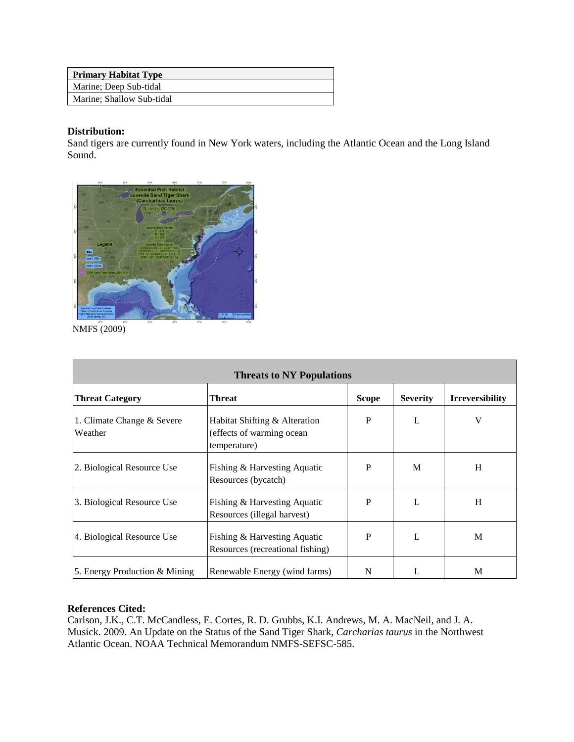| <b>Primary Habitat Type</b> |
|-----------------------------|
| Marine; Deep Sub-tidal      |
| Marine: Shallow Sub-tidal   |

# **Distribution:**

Sand tigers are currently found in New York waters, including the Atlantic Ocean and the Long Island Sound.



NMFS (2009)

| <b>Threats to NY Populations</b>      |                                                                             |              |                 |                        |  |
|---------------------------------------|-----------------------------------------------------------------------------|--------------|-----------------|------------------------|--|
| <b>Threat Category</b>                | <b>Threat</b>                                                               | <b>Scope</b> | <b>Severity</b> | <b>Irreversibility</b> |  |
| 1. Climate Change & Severe<br>Weather | Habitat Shifting & Alteration<br>(effects of warming ocean)<br>temperature) | P            |                 | V                      |  |
| 2. Biological Resource Use            | Fishing & Harvesting Aquatic<br>Resources (bycatch)                         | P            | M               | H                      |  |
| 3. Biological Resource Use            | Fishing & Harvesting Aquatic<br>Resources (illegal harvest)                 | P            | L               | H                      |  |
| 4. Biological Resource Use            | Fishing & Harvesting Aquatic<br>Resources (recreational fishing)            | P            |                 | M                      |  |
| 5. Energy Production & Mining         | Renewable Energy (wind farms)                                               | N            |                 | M                      |  |

# **References Cited:**

Carlson, J.K., C.T. McCandless, E. Cortes, R. D. Grubbs, K.I. Andrews, M. A. MacNeil, and J. A. Musick. 2009. An Update on the Status of the Sand Tiger Shark, *Carcharias taurus* in the Northwest Atlantic Ocean. NOAA Technical Memorandum NMFS-SEFSC-585.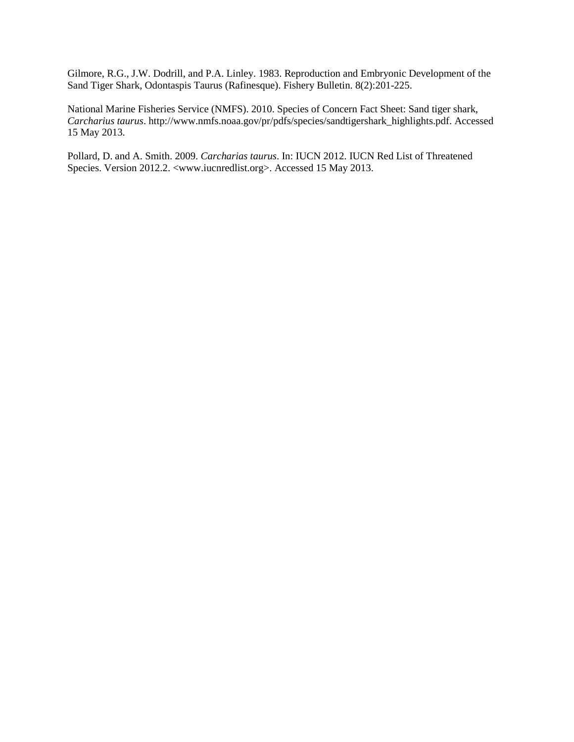Gilmore, R.G., J.W. Dodrill, and P.A. Linley. 1983. Reproduction and Embryonic Development of the Sand Tiger Shark, Odontaspis Taurus (Rafinesque). Fishery Bulletin. 8(2):201-225.

National Marine Fisheries Service (NMFS). 2010. Species of Concern Fact Sheet: Sand tiger shark, *Carcharius taurus*. [http://www.nmfs.noaa.gov/pr/pdfs/species/sandtigershark\\_highlights.pdf.](http://www.nmfs.noaa.gov/pr/pdfs/species/sandtigershark_highlights.pdf) Accessed 15 May 2013.

Pollard, D. and A. Smith. 2009. *Carcharias taurus*. In: IUCN 2012. IUCN Red List of Threatened Species. Version 2012.2. <<www.iucnredlist.org>>. Accessed 15 May 2013.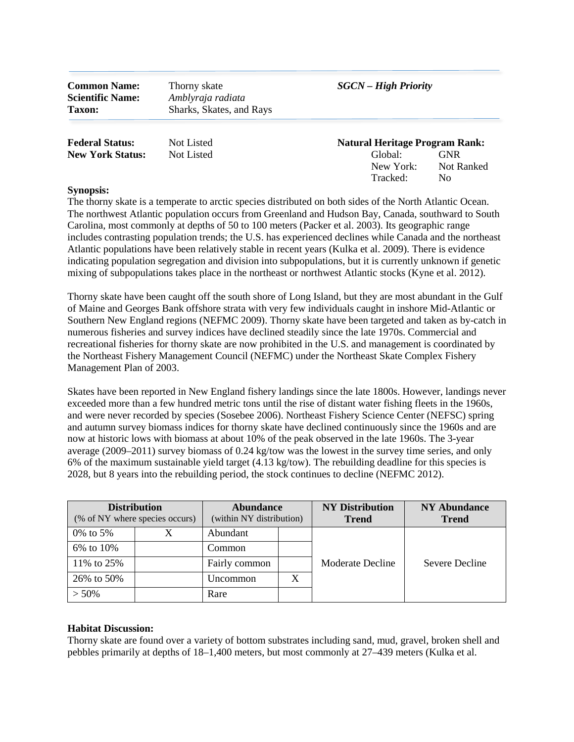**Common Name:** Thorny skate *SGCN – High Priority*  **Scientific Name:** *Amblyraja radiata*  **Taxon:** Sharks, Skates, and Rays

Tracked: No

| <b>Federal Status:</b>  | Not Listed | <b>Natural Heritage Program Rank:</b> |            |  |
|-------------------------|------------|---------------------------------------|------------|--|
| <b>New York Status:</b> | Not Listed | Global:                               | <b>GNR</b> |  |
|                         |            | New York:                             | Not Ranked |  |

## **Synopsis:**

 Carolina, most commonly at depths of 50 to 100 meters (Packer et al. 2003). Its geographic range indicating population segregation and division into subpopulations, but it is currently unknown if genetic mixing of subpopulations takes place in the northeast or northwest Atlantic stocks (Kyne et al. 2012). The thorny skate is a temperate to arctic species distributed on both sides of the North Atlantic Ocean. The northwest Atlantic population occurs from Greenland and Hudson Bay, Canada, southward to South includes contrasting population trends; the U.S. has experienced declines while Canada and the northeast Atlantic populations have been relatively stable in recent years (Kulka et al. 2009). There is evidence

 Thorny skate have been caught off the south shore of Long Island, but they are most abundant in the Gulf recreational fisheries for thorny skate are now prohibited in the U.S. and management is coordinated by the Northeast Fishery Management Council (NEFMC) under the Northeast Skate Complex Fishery of Maine and Georges Bank offshore strata with very few individuals caught in inshore Mid-Atlantic or Southern New England regions (NEFMC 2009). Thorny skate have been targeted and taken as by-catch in numerous fisheries and survey indices have declined steadily since the late 1970s. Commercial and Management Plan of 2003.

 now at historic lows with biomass at about 10% of the peak observed in the late 1960s. The 3-year 6% of the maximum sustainable yield target (4.13 kg/tow). The rebuilding deadline for this species is Skates have been reported in New England fishery landings since the late 1800s. However, landings never exceeded more than a few hundred metric tons until the rise of distant water fishing fleets in the 1960s, and were never recorded by species (Sosebee 2006). Northeast Fishery Science Center (NEFSC) spring and autumn survey biomass indices for thorny skate have declined continuously since the 1960s and are average (2009–2011) survey biomass of 0.24 kg/tow was the lowest in the survey time series, and only 2028, but 8 years into the rebuilding period, the stock continues to decline (NEFMC 2012).

| <b>Distribution</b><br>(% of NY where species occurs) |  | <b>Abundance</b><br>(within NY distribution) |   | <b>NY Distribution</b><br><b>Trend</b> | <b>NY Abundance</b><br><b>Trend</b> |
|-------------------------------------------------------|--|----------------------------------------------|---|----------------------------------------|-------------------------------------|
| 0\% to 5\%                                            |  | Abundant                                     |   |                                        |                                     |
| 6% to 10%                                             |  | Common                                       |   |                                        |                                     |
| 11\% to 25\%                                          |  | Fairly common                                |   | Moderate Decline                       | Severe Decline                      |
| 26% to 50%                                            |  | Uncommon                                     | X |                                        |                                     |
| $> 50\%$                                              |  | Rare                                         |   |                                        |                                     |

# **Habitat Discussion:**

Thorny skate are found over a variety of bottom substrates including sand, mud, gravel, broken shell and pebbles primarily at depths of 18–1,400 meters, but most commonly at 27–439 meters (Kulka et al.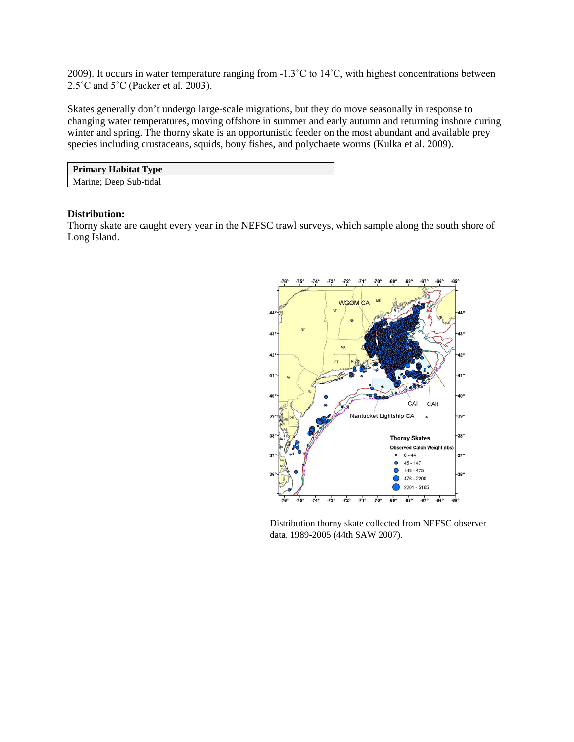2009). It occurs in water temperature ranging from -1.3˚C to 14˚C, with highest concentrations between 2.5 $^{\circ}$ C and 5 $^{\circ}$ C (Packer et al. 2003).

Skates generally don't undergo large-scale migrations, but they do move seasonally in response to changing water temperatures, moving offshore in summer and early autumn and returning inshore during winter and spring. The thorny skate is an opportunistic feeder on the most abundant and available prey species including crustaceans, squids, bony fishes, and polychaete worms (Kulka et al. 2009).

| <b>Primary Habitat Type</b> |
|-----------------------------|
| Marine; Deep Sub-tidal      |

#### **Distribution:**

 Thorny skate are caught every year in the NEFSC trawl surveys, which sample along the south shore of Long Island.



Distribution thorny skate collected from NEFSC observer data, 1989-2005 (44th SAW 2007).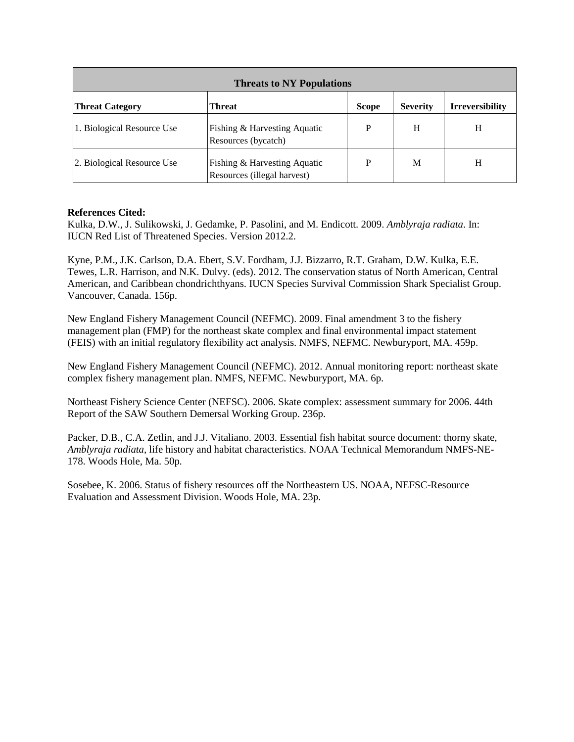| <b>Threats to NY Populations</b>                                                                     |                                                             |   |   |   |  |  |
|------------------------------------------------------------------------------------------------------|-------------------------------------------------------------|---|---|---|--|--|
| <b>Irreversibility</b><br><b>Severity</b><br><b>Threat Category</b><br><b>Scope</b><br><b>Threat</b> |                                                             |   |   |   |  |  |
| 1. Biological Resource Use                                                                           | Fishing & Harvesting Aquatic<br>Resources (bycatch)         | P | H | H |  |  |
| 2. Biological Resource Use                                                                           | Fishing & Harvesting Aquatic<br>Resources (illegal harvest) | P | M | Н |  |  |

Kulka, D.W., J. Sulikowski, J. Gedamke, P. Pasolini, and M. Endicott. 2009. *Amblyraja radiata*. In: IUCN Red List of Threatened Species. Version 2012.2.

Kyne, P.M., J.K. Carlson, D.A. Ebert, S.V. Fordham, J.J. Bizzarro, R.T. Graham, D.W. Kulka, E.E. Tewes, L.R. Harrison, and N.K. Dulvy. (eds). 2012. The conservation status of North American, Central American, and Caribbean chondrichthyans. IUCN Species Survival Commission Shark Specialist Group. Vancouver, Canada. 156p.

 management plan (FMP) for the northeast skate complex and final environmental impact statement New England Fishery Management Council (NEFMC). 2009. Final amendment 3 to the fishery (FEIS) with an initial regulatory flexibility act analysis. NMFS, NEFMC. Newburyport, MA. 459p.

New England Fishery Management Council (NEFMC). 2012. Annual monitoring report: northeast skate complex fishery management plan. NMFS, NEFMC. Newburyport, MA. 6p.

Northeast Fishery Science Center (NEFSC). 2006. Skate complex: assessment summary for 2006. 44th Report of the SAW Southern Demersal Working Group. 236p.

 Packer, D.B., C.A. Zetlin, and J.J. Vitaliano. 2003. Essential fish habitat source document: thorny skate, *Amblyraja radiata*, life history and habitat characteristics. NOAA Technical Memorandum NMFS-NE-178. Woods Hole, Ma. 50p.

Sosebee, K. 2006. Status of fishery resources off the Northeastern US. NOAA, NEFSC-Resource Evaluation and Assessment Division. Woods Hole, MA. 23p.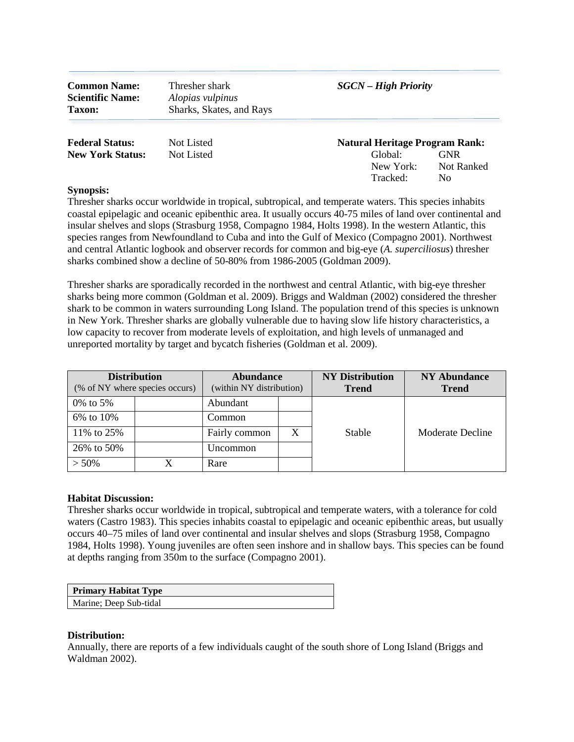| <b>Common Name:</b><br><b>Scientific Name:</b><br><b>Taxon:</b> | Thresher shark<br>Alopias vulpinus<br>Sharks, Skates, and Rays | <b>SGCN</b> – High Priority           |                                 |  |
|-----------------------------------------------------------------|----------------------------------------------------------------|---------------------------------------|---------------------------------|--|
| <b>Federal Status:</b>                                          | Not Listed                                                     | <b>Natural Heritage Program Rank:</b> |                                 |  |
| <b>New York Status:</b>                                         | Not Listed                                                     | Global:<br>New York:<br>Tracked:      | <b>GNR</b><br>Not Ranked<br>No. |  |

 species ranges from Newfoundland to Cuba and into the Gulf of Mexico (Compagno 2001). Northwest and central Atlantic logbook and observer records for common and big-eye (*A. superciliosus*) thresher Thresher sharks occur worldwide in tropical, subtropical, and temperate waters. This species inhabits coastal epipelagic and oceanic epibenthic area. It usually occurs 40-75 miles of land over continental and insular shelves and slops (Strasburg 1958, Compagno 1984, Holts 1998). In the western Atlantic, this sharks combined show a decline of 50-80% from 1986-2005 (Goldman 2009).

 Thresher sharks are sporadically recorded in the northwest and central Atlantic, with big-eye thresher shark to be common in waters surrounding Long Island. The population trend of this species is unknown low capacity to recover from moderate levels of exploitation, and high levels of unmanaged and sharks being more common (Goldman et al. 2009). Briggs and Waldman (2002) considered the thresher in New York. Thresher sharks are globally vulnerable due to having slow life history characteristics, a unreported mortality by target and bycatch fisheries (Goldman et al. 2009).

| <b>Distribution</b><br>(% of NY where species occurs) |  | <b>Abundance</b><br>(within NY distribution) |  | <b>NY Distribution</b><br><b>Trend</b> | <b>NY Abundance</b><br><b>Trend</b> |
|-------------------------------------------------------|--|----------------------------------------------|--|----------------------------------------|-------------------------------------|
| 0% to 5%                                              |  | Abundant                                     |  |                                        |                                     |
| 6% to 10%                                             |  | Common                                       |  |                                        |                                     |
| 11% to 25%                                            |  | Fairly common                                |  | Stable                                 | Moderate Decline                    |
| 26% to 50%                                            |  | Uncommon                                     |  |                                        |                                     |
| $> 50\%$                                              |  | Rare                                         |  |                                        |                                     |

#### **Habitat Discussion:**

Thresher sharks occur worldwide in tropical, subtropical and temperate waters, with a tolerance for cold waters (Castro 1983). This species inhabits coastal to epipelagic and oceanic epibenthic areas, but usually occurs 40–75 miles of land over continental and insular shelves and slops (Strasburg 1958, Compagno 1984, Holts 1998). Young juveniles are often seen inshore and in shallow bays. This species can be found at depths ranging from 350m to the surface (Compagno 2001).

| <b>Primary Habitat Type</b> |
|-----------------------------|
| Marine; Deep Sub-tidal      |

#### **Distribution:**

 Annually, there are reports of a few individuals caught of the south shore of Long Island (Briggs and Waldman 2002).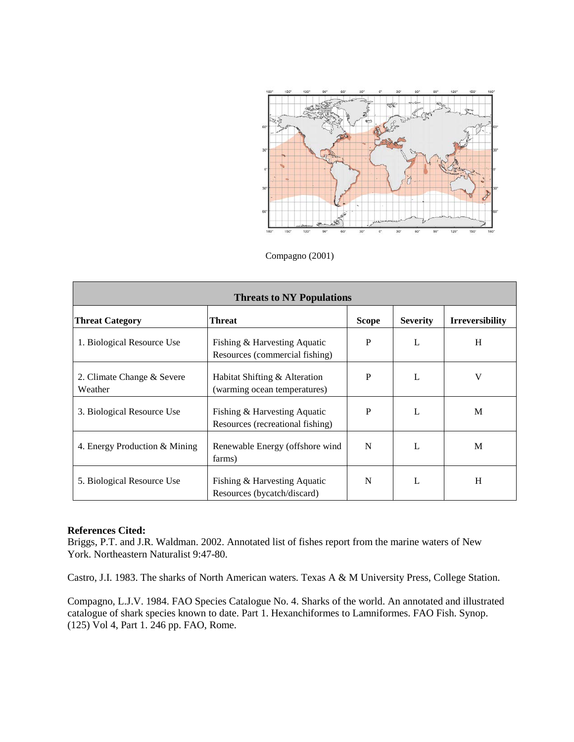

Compagno (2001)

| <b>Threats to NY Populations</b>                                                              |                                                                  |   |   |   |  |
|-----------------------------------------------------------------------------------------------|------------------------------------------------------------------|---|---|---|--|
| Threat<br><b>Severity</b><br><b>Irreversibility</b><br><b>Threat Category</b><br><b>Scope</b> |                                                                  |   |   |   |  |
| 1. Biological Resource Use                                                                    | Fishing & Harvesting Aquatic<br>Resources (commercial fishing)   | P |   | H |  |
| 2. Climate Change & Severe<br>Weather                                                         | Habitat Shifting & Alteration<br>(warming ocean temperatures)    | P |   | V |  |
| 3. Biological Resource Use                                                                    | Fishing & Harvesting Aquatic<br>Resources (recreational fishing) | P | L | M |  |
| 4. Energy Production & Mining                                                                 | Renewable Energy (offshore wind<br>farms)                        | N | L | M |  |
| 5. Biological Resource Use                                                                    | Fishing & Harvesting Aquatic<br>Resources (bycatch/discard)      | N |   | H |  |

Briggs, P.T. and J.R. Waldman. 2002. Annotated list of fishes report from the marine waters of New York. Northeastern Naturalist 9:47-80.

Castro, J.I. 1983. The sharks of North American waters. Texas A & M University Press, College Station.

Compagno, L.J.V. 1984. FAO Species Catalogue No. 4. Sharks of the world. An annotated and illustrated catalogue of shark species known to date. Part 1. Hexanchiformes to Lamniformes. FAO Fish. Synop. (125) Vol 4, Part 1. 246 pp. FAO, Rome.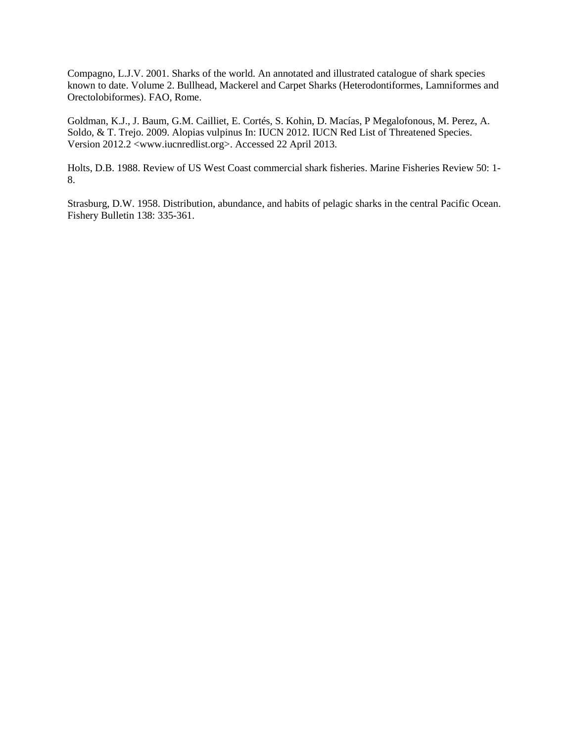Compagno, L.J.V. 2001. Sharks of the world. An annotated and illustrated catalogue of shark species known to date. Volume 2. Bullhead, Mackerel and Carpet Sharks (Heterodontiformes, Lamniformes and Orectolobiformes). FAO, Rome.

 Soldo, & T. Trejo. 2009. Alopias vulpinus In: IUCN 2012. IUCN Red List of Threatened Species. Goldman, K.J., J. Baum, G.M. Cailliet, E. Cortés, S. Kohin, D. Macías, P Megalofonous, M. Perez, A. Version 2012.2 <<www.iucnredlist.org>>. Accessed 22 April 2013.

Holts, D.B. 1988. Review of US West Coast commercial shark fisheries. Marine Fisheries Review 50: 1- 8.

Strasburg, D.W. 1958. Distribution, abundance, and habits of pelagic sharks in the central Pacific Ocean. Fishery Bulletin 138: 335-361.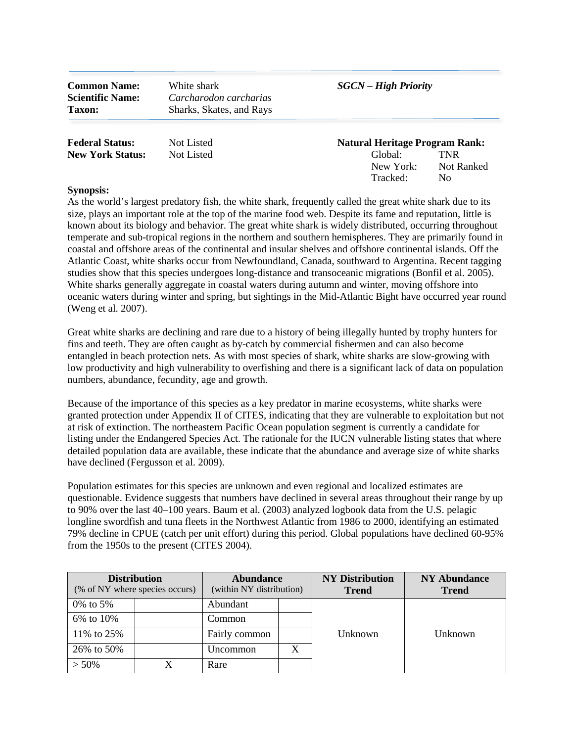White shark **Scientific Name:** *Carcharodon carcharias*  **Taxon:** Sharks, Skates, and Rays

#### **Common Name:** White shark *SGCN – High Priority*

| <b>Federal Status:</b>  | Not Listed | <b>Natural Heritage Program F</b> |
|-------------------------|------------|-----------------------------------|
| <b>New York Status:</b> | Not Listed | <b>TNR</b><br>Global:             |

# **Natural Heritage Program Rank:** New York: Not Ranked Tracked: No

## **Synopsis:**

 size, plays an important role at the top of the marine food web. Despite its fame and reputation, little is temperate and sub-tropical regions in the northern and southern hemispheres. They are primarily found in coastal and offshore areas of the continental and insular shelves and offshore continental islands. Off the studies show that this species undergoes long-distance and transoceanic migrations (Bonfil et al. 2005). As the world's largest predatory fish, the white shark, frequently called the great white shark due to its known about its biology and behavior. The great white shark is widely distributed, occurring throughout Atlantic Coast, white sharks occur from Newfoundland, Canada, southward to Argentina. Recent tagging White sharks generally aggregate in coastal waters during autumn and winter, moving offshore into oceanic waters during winter and spring, but sightings in the Mid-Atlantic Bight have occurred year round (Weng et al. 2007).

 Great white sharks are declining and rare due to a history of being illegally hunted by trophy hunters for fins and teeth. They are often caught as by-catch by commercial fishermen and can also become low productivity and high vulnerability to overfishing and there is a significant lack of data on population entangled in beach protection nets. As with most species of shark, white sharks are slow-growing with numbers, abundance, fecundity, age and growth.

 at risk of extinction. The northeastern Pacific Ocean population segment is currently a candidate for Because of the importance of this species as a key predator in marine ecosystems, white sharks were granted protection under Appendix II of CITES, indicating that they are vulnerable to exploitation but not listing under the Endangered Species Act. The rationale for the IUCN vulnerable listing states that where detailed population data are available, these indicate that the abundance and average size of white sharks have declined (Fergusson et al. 2009).

 questionable. Evidence suggests that numbers have declined in several areas throughout their range by up to 90% over the last 40–100 years. Baum et al. (2003) analyzed logbook data from the U.S. pelagic Population estimates for this species are unknown and even regional and localized estimates are longline swordfish and tuna fleets in the Northwest Atlantic from 1986 to 2000, identifying an estimated 79% decline in CPUE (catch per unit effort) during this period. Global populations have declined 60-95% from the 1950s to the present (CITES 2004).

| <b>Distribution</b><br>(% of NY where species occurs) |  | <b>Abundance</b><br>(within NY distribution) |  | <b>NY Distribution</b><br><b>Trend</b> | <b>NY Abundance</b><br><b>Trend</b> |
|-------------------------------------------------------|--|----------------------------------------------|--|----------------------------------------|-------------------------------------|
| 0\% to 5\%                                            |  | Abundant                                     |  |                                        |                                     |
| 6% to 10%                                             |  | Common                                       |  |                                        |                                     |
| 11% to 25%                                            |  | Fairly common                                |  | Unknown                                | Unknown                             |
| 26% to 50%                                            |  | Uncommon                                     |  |                                        |                                     |
| $> 50\%$                                              |  | Rare                                         |  |                                        |                                     |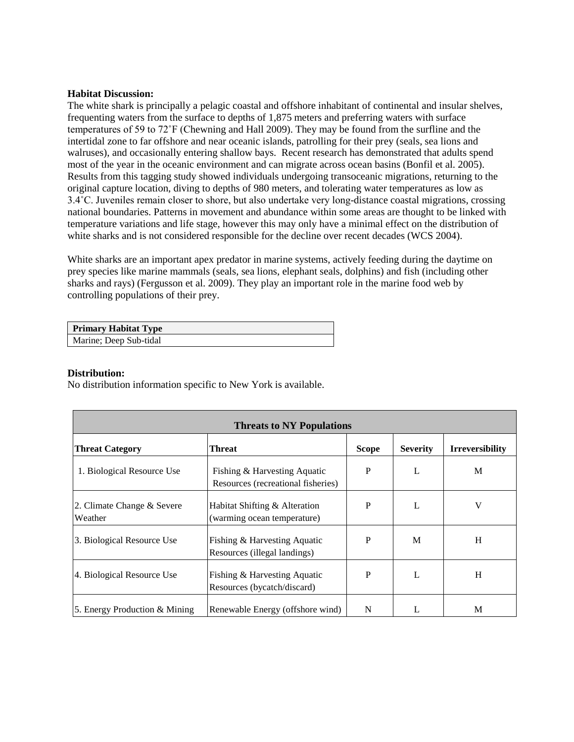# **Habitat Discussion:**

 frequenting waters from the surface to depths of 1,875 meters and preferring waters with surface temperatures of 59 to 72˚F (Chewning and Hall 2009). They may be found from the surfline and the 3.4˚C. Juveniles remain closer to shore, but also undertake very long-distance coastal migrations, crossing national boundaries. Patterns in movement and abundance within some areas are thought to be linked with white sharks and is not considered responsible for the decline over recent decades (WCS 2004). The white shark is principally a pelagic coastal and offshore inhabitant of continental and insular shelves, intertidal zone to far offshore and near oceanic islands, patrolling for their prey (seals, sea lions and walruses), and occasionally entering shallow bays. Recent research has demonstrated that adults spend most of the year in the oceanic environment and can migrate across ocean basins (Bonfil et al. 2005). Results from this tagging study showed individuals undergoing transoceanic migrations, returning to the original capture location, diving to depths of 980 meters, and tolerating water temperatures as low as temperature variations and life stage, however this may only have a minimal effect on the distribution of

 prey species like marine mammals (seals, sea lions, elephant seals, dolphins) and fish (including other White sharks are an important apex predator in marine systems, actively feeding during the daytime on sharks and rays) (Fergusson et al. 2009). They play an important role in the marine food web by controlling populations of their prey.

| <b>Primary Habitat Type</b> |  |
|-----------------------------|--|
| Marine; Deep Sub-tidal      |  |

#### **Distribution:**

No distribution information specific to New York is available.

| <b>Threats to NY Populations</b>      |                                                                    |              |                 |                        |  |  |  |  |
|---------------------------------------|--------------------------------------------------------------------|--------------|-----------------|------------------------|--|--|--|--|
| <b>Threat Category</b>                | <b>Threat</b>                                                      | <b>Scope</b> | <b>Severity</b> | <b>Irreversibility</b> |  |  |  |  |
| 1. Biological Resource Use            | Fishing & Harvesting Aquatic<br>Resources (recreational fisheries) | P            |                 | M                      |  |  |  |  |
| 2. Climate Change & Severe<br>Weather | Habitat Shifting & Alteration<br>(warming ocean temperature)       | P            |                 | V                      |  |  |  |  |
| 3. Biological Resource Use            | Fishing & Harvesting Aquatic<br>Resources (illegal landings)       | P            | M               | H                      |  |  |  |  |
| 4. Biological Resource Use            | Fishing & Harvesting Aquatic<br>Resources (bycatch/discard)        | P            |                 | H                      |  |  |  |  |
| 5. Energy Production & Mining         | Renewable Energy (offshore wind)                                   | N            |                 | M                      |  |  |  |  |